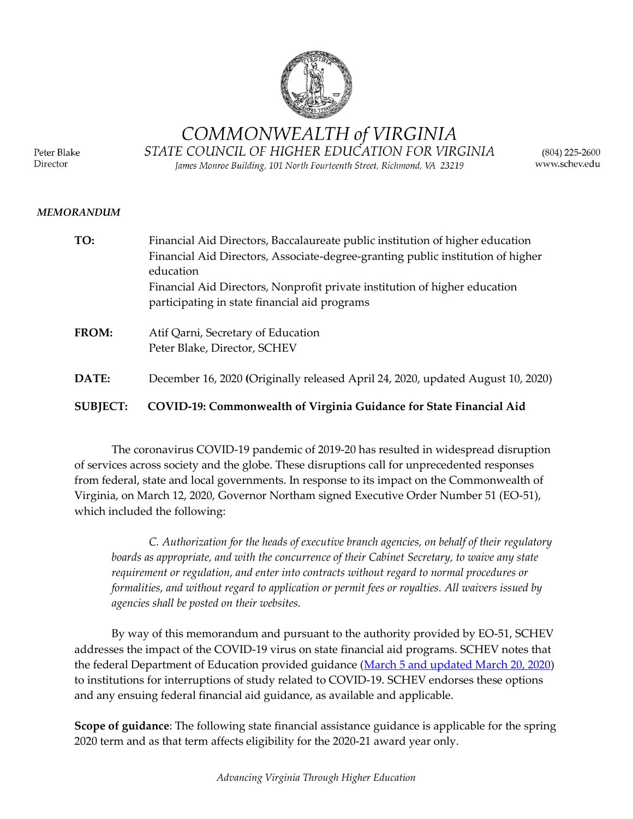

COMMONWEALTH of VIRGINIA

Peter Blake Director

STATE COUNCIL OF HIGHER EDUCATION FOR VIRGINIA James Monroe Building, 101 North Fourteenth Street, Richmond, VA 23219

 $(804)$  225-2600 www.schev.edu

## *MEMORANDUM*

| TO:             | Financial Aid Directors, Baccalaureate public institution of higher education   |
|-----------------|---------------------------------------------------------------------------------|
|                 | Financial Aid Directors, Associate-degree-granting public institution of higher |
|                 | education                                                                       |
|                 | Financial Aid Directors, Nonprofit private institution of higher education      |
|                 | participating in state financial aid programs                                   |
| FROM:           | Atif Qarni, Secretary of Education                                              |
|                 | Peter Blake, Director, SCHEV                                                    |
|                 |                                                                                 |
| DATE:           | December 16, 2020 (Originally released April 24, 2020, updated August 10, 2020) |
|                 |                                                                                 |
| <b>SUBJECT:</b> | COVID-19: Commonwealth of Virginia Guidance for State Financial Aid             |

The coronavirus COVID-19 pandemic of 2019-20 has resulted in widespread disruption of services across society and the globe. These disruptions call for unprecedented responses from federal, state and local governments. In response to its impact on the Commonwealth of Virginia, on March 12, 2020, Governor Northam signed Executive Order Number 51 (EO-51), which included the following:

*C. Authorization for the heads of executive branch agencies, on behalf of their regulatory boards as appropriate, and with the concurrence of their Cabinet Secretary, to waive any state requirement or regulation, and enter into contracts without regard to normal procedures or formalities, and without regard to application or permit fees or royalties. All waivers issued by agencies shall be posted on their websites.*

By way of this memorandum and pursuant to the authority provided by EO-51, SCHEV addresses the impact of the COVID-19 virus on state financial aid programs. SCHEV notes that the federal Department of Education provided guidance [\(March 5 and updated March 20, 2020\)](https://ifap.ed.gov/electronic-announcements/030520Guidance4interruptionsrelated2CoronavirusCOVID19) to institutions for interruptions of study related to COVID-19. SCHEV endorses these options and any ensuing federal financial aid guidance, as available and applicable.

**Scope of guidance**: The following state financial assistance guidance is applicable for the spring 2020 term and as that term affects eligibility for the 2020-21 award year only.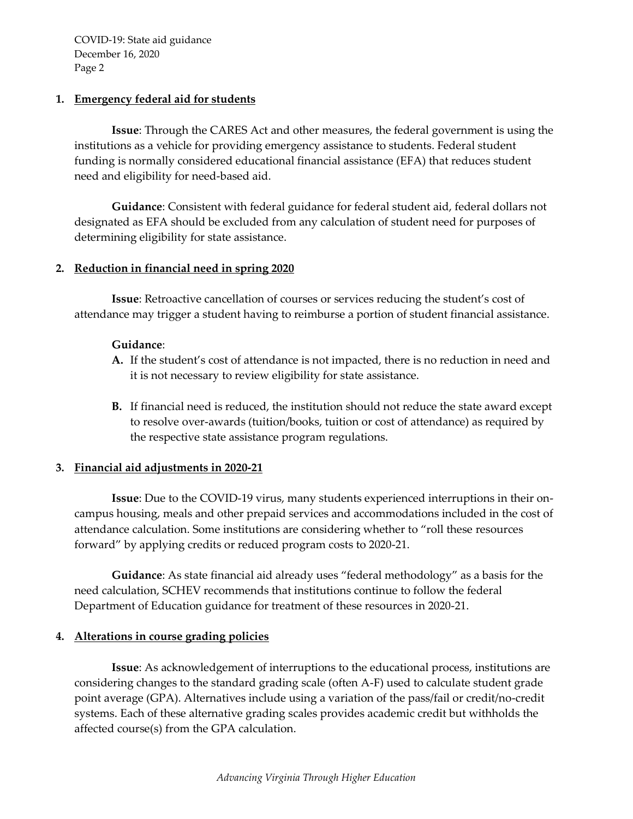## **1. Emergency federal aid for students**

**Issue**: Through the CARES Act and other measures, the federal government is using the institutions as a vehicle for providing emergency assistance to students. Federal student funding is normally considered educational financial assistance (EFA) that reduces student need and eligibility for need-based aid.

**Guidance**: Consistent with federal guidance for federal student aid, federal dollars not designated as EFA should be excluded from any calculation of student need for purposes of determining eligibility for state assistance.

# **2. Reduction in financial need in spring 2020**

**Issue**: Retroactive cancellation of courses or services reducing the student's cost of attendance may trigger a student having to reimburse a portion of student financial assistance.

## **Guidance**:

- **A.** If the student's cost of attendance is not impacted, there is no reduction in need and it is not necessary to review eligibility for state assistance.
- **B.** If financial need is reduced, the institution should not reduce the state award except to resolve over-awards (tuition/books, tuition or cost of attendance) as required by the respective state assistance program regulations.

## **3. Financial aid adjustments in 2020-21**

**Issue**: Due to the COVID-19 virus, many students experienced interruptions in their oncampus housing, meals and other prepaid services and accommodations included in the cost of attendance calculation. Some institutions are considering whether to "roll these resources forward" by applying credits or reduced program costs to 2020-21.

**Guidance**: As state financial aid already uses "federal methodology" as a basis for the need calculation, SCHEV recommends that institutions continue to follow the federal Department of Education guidance for treatment of these resources in 2020-21.

## **4. Alterations in course grading policies**

**Issue**: As acknowledgement of interruptions to the educational process, institutions are considering changes to the standard grading scale (often A-F) used to calculate student grade point average (GPA). Alternatives include using a variation of the pass/fail or credit/no-credit systems. Each of these alternative grading scales provides academic credit but withholds the affected course(s) from the GPA calculation.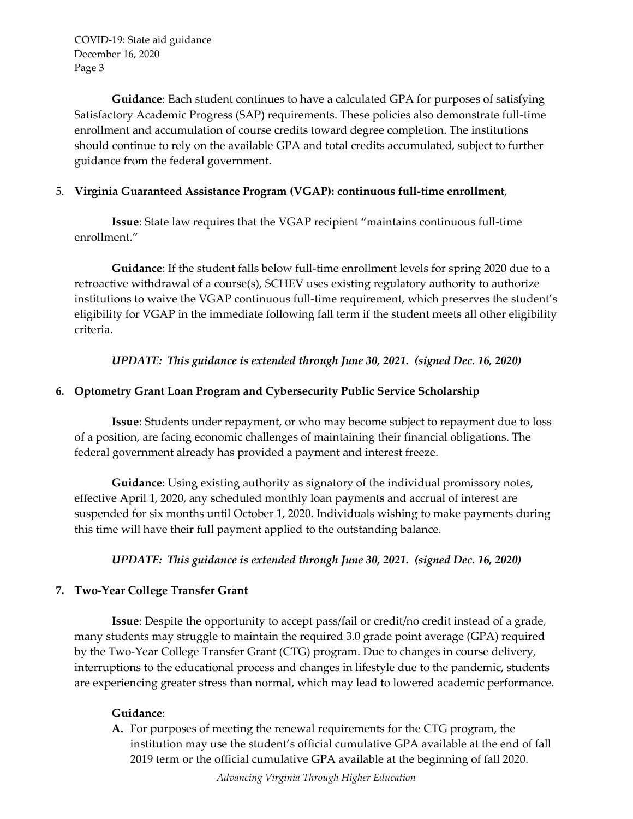**Guidance**: Each student continues to have a calculated GPA for purposes of satisfying Satisfactory Academic Progress (SAP) requirements. These policies also demonstrate full-time enrollment and accumulation of course credits toward degree completion. The institutions should continue to rely on the available GPA and total credits accumulated, subject to further guidance from the federal government.

# 5. **Virginia Guaranteed Assistance Program (VGAP): continuous full-time enrollment**,

**Issue**: State law requires that the VGAP recipient "maintains continuous full-time enrollment."

**Guidance**: If the student falls below full-time enrollment levels for spring 2020 due to a retroactive withdrawal of a course(s), SCHEV uses existing regulatory authority to authorize institutions to waive the VGAP continuous full-time requirement, which preserves the student's eligibility for VGAP in the immediate following fall term if the student meets all other eligibility criteria.

*UPDATE: This guidance is extended through June 30, 2021. (signed Dec. 16, 2020)* 

# **6. Optometry Grant Loan Program and Cybersecurity Public Service Scholarship**

**Issue**: Students under repayment, or who may become subject to repayment due to loss of a position, are facing economic challenges of maintaining their financial obligations. The federal government already has provided a payment and interest freeze.

**Guidance**: Using existing authority as signatory of the individual promissory notes, effective April 1, 2020, any scheduled monthly loan payments and accrual of interest are suspended for six months until October 1, 2020. Individuals wishing to make payments during this time will have their full payment applied to the outstanding balance.

*UPDATE: This guidance is extended through June 30, 2021. (signed Dec. 16, 2020)* 

## **7. Two-Year College Transfer Grant**

**Issue**: Despite the opportunity to accept pass/fail or credit/no credit instead of a grade, many students may struggle to maintain the required 3.0 grade point average (GPA) required by the Two-Year College Transfer Grant (CTG) program. Due to changes in course delivery, interruptions to the educational process and changes in lifestyle due to the pandemic, students are experiencing greater stress than normal, which may lead to lowered academic performance.

# **Guidance**:

**A.** For purposes of meeting the renewal requirements for the CTG program, the institution may use the student's official cumulative GPA available at the end of fall 2019 term or the official cumulative GPA available at the beginning of fall 2020.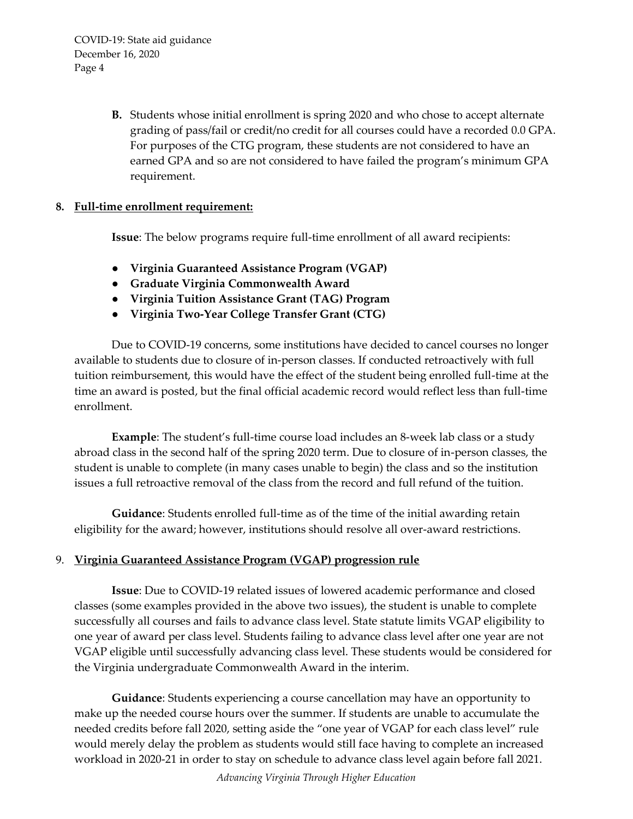> **B.** Students whose initial enrollment is spring 2020 and who chose to accept alternate grading of pass/fail or credit/no credit for all courses could have a recorded 0.0 GPA. For purposes of the CTG program, these students are not considered to have an earned GPA and so are not considered to have failed the program's minimum GPA requirement.

# **8. Full-time enrollment requirement:**

**Issue**: The below programs require full-time enrollment of all award recipients:

- **Virginia Guaranteed Assistance Program (VGAP)**
- **Graduate Virginia Commonwealth Award**
- **Virginia Tuition Assistance Grant (TAG) Program**
- **Virginia Two-Year College Transfer Grant (CTG)**

Due to COVID-19 concerns, some institutions have decided to cancel courses no longer available to students due to closure of in-person classes. If conducted retroactively with full tuition reimbursement, this would have the effect of the student being enrolled full-time at the time an award is posted, but the final official academic record would reflect less than full-time enrollment.

**Example**: The student's full-time course load includes an 8-week lab class or a study abroad class in the second half of the spring 2020 term. Due to closure of in-person classes, the student is unable to complete (in many cases unable to begin) the class and so the institution issues a full retroactive removal of the class from the record and full refund of the tuition.

**Guidance**: Students enrolled full-time as of the time of the initial awarding retain eligibility for the award; however, institutions should resolve all over-award restrictions.

# 9. **Virginia Guaranteed Assistance Program (VGAP) progression rule**

**Issue**: Due to COVID-19 related issues of lowered academic performance and closed classes (some examples provided in the above two issues), the student is unable to complete successfully all courses and fails to advance class level. State statute limits VGAP eligibility to one year of award per class level. Students failing to advance class level after one year are not VGAP eligible until successfully advancing class level. These students would be considered for the Virginia undergraduate Commonwealth Award in the interim.

**Guidance**: Students experiencing a course cancellation may have an opportunity to make up the needed course hours over the summer. If students are unable to accumulate the needed credits before fall 2020, setting aside the "one year of VGAP for each class level" rule would merely delay the problem as students would still face having to complete an increased workload in 2020-21 in order to stay on schedule to advance class level again before fall 2021.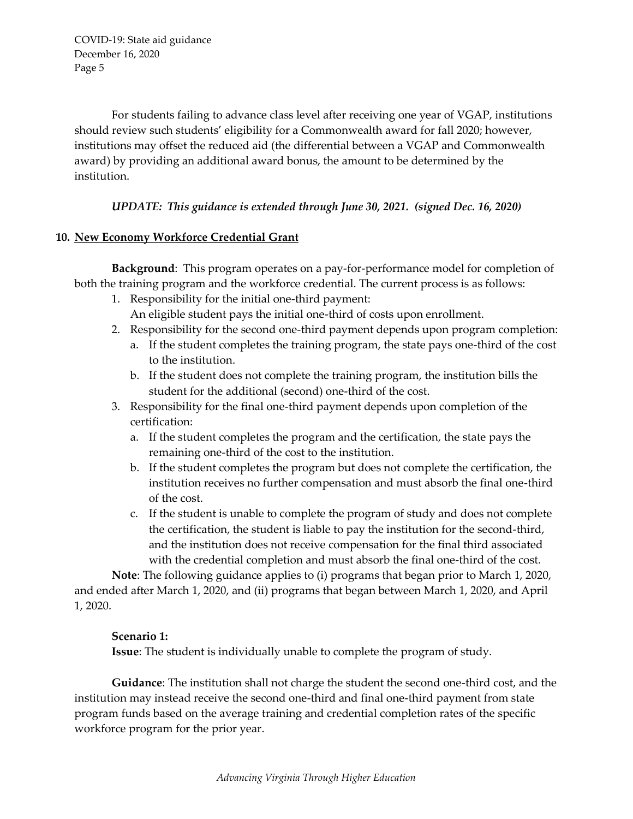For students failing to advance class level after receiving one year of VGAP, institutions should review such students' eligibility for a Commonwealth award for fall 2020; however, institutions may offset the reduced aid (the differential between a VGAP and Commonwealth award) by providing an additional award bonus, the amount to be determined by the institution.

# *UPDATE: This guidance is extended through June 30, 2021. (signed Dec. 16, 2020)*

# **10. New Economy Workforce Credential Grant**

**Background**: This program operates on a pay-for-performance model for completion of both the training program and the workforce credential. The current process is as follows:

- 1. Responsibility for the initial one-third payment:
	- An eligible student pays the initial one-third of costs upon enrollment.
- 2. Responsibility for the second one-third payment depends upon program completion:
	- a. If the student completes the training program, the state pays one-third of the cost to the institution.
	- b. If the student does not complete the training program, the institution bills the student for the additional (second) one-third of the cost.
- 3. Responsibility for the final one-third payment depends upon completion of the certification:
	- a. If the student completes the program and the certification, the state pays the remaining one-third of the cost to the institution.
	- b. If the student completes the program but does not complete the certification, the institution receives no further compensation and must absorb the final one-third of the cost.
	- c. If the student is unable to complete the program of study and does not complete the certification, the student is liable to pay the institution for the second-third, and the institution does not receive compensation for the final third associated with the credential completion and must absorb the final one-third of the cost.

**Note**: The following guidance applies to (i) programs that began prior to March 1, 2020, and ended after March 1, 2020, and (ii) programs that began between March 1, 2020, and April 1, 2020.

## **Scenario 1:**

**Issue**: The student is individually unable to complete the program of study.

**Guidance**: The institution shall not charge the student the second one-third cost, and the institution may instead receive the second one-third and final one-third payment from state program funds based on the average training and credential completion rates of the specific workforce program for the prior year.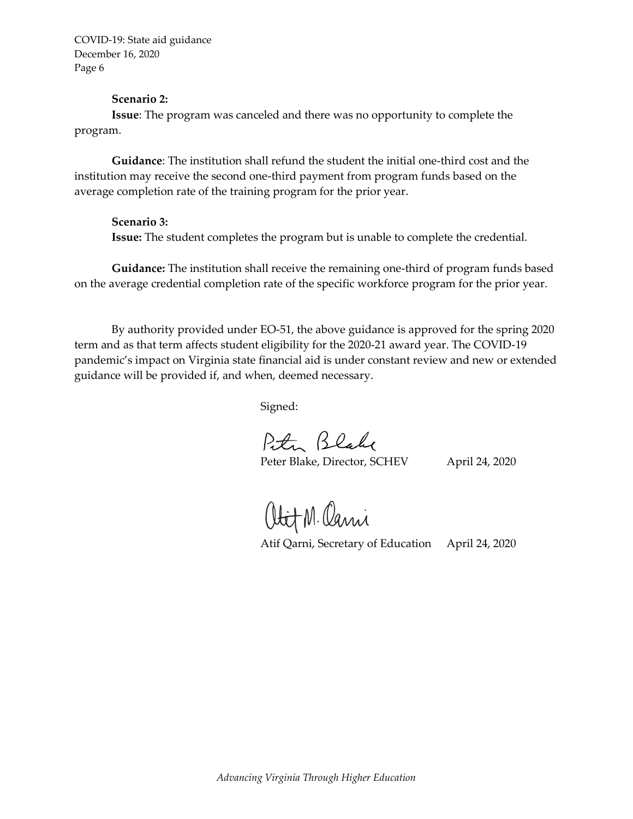#### **Scenario 2:**

**Issue**: The program was canceled and there was no opportunity to complete the program.

**Guidance**: The institution shall refund the student the initial one-third cost and the institution may receive the second one-third payment from program funds based on the average completion rate of the training program for the prior year.

#### **Scenario 3:**

**Issue:** The student completes the program but is unable to complete the credential.

**Guidance:** The institution shall receive the remaining one-third of program funds based on the average credential completion rate of the specific workforce program for the prior year.

By authority provided under EO-51, the above guidance is approved for the spring 2020 term and as that term affects student eligibility for the 2020-21 award year. The COVID-19 pandemic's impact on Virginia state financial aid is under constant review and new or extended guidance will be provided if, and when, deemed necessary.

Signed:

Peter Blake

Peter Blake, Director, SCHEV April 24, 2020

Obit M. Cani

Atif Qarni, Secretary of Education April 24, 2020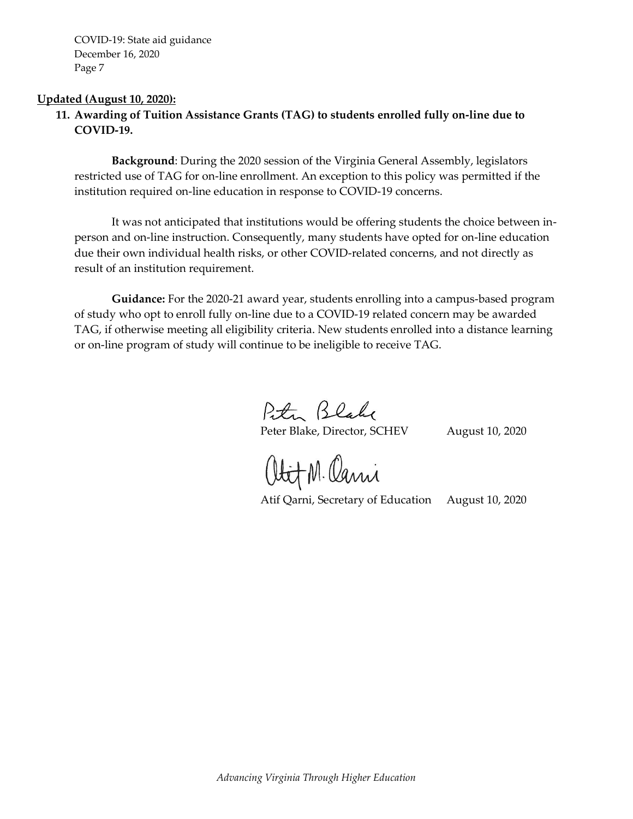#### **Updated (August 10, 2020):**

# **11. Awarding of Tuition Assistance Grants (TAG) to students enrolled fully on-line due to COVID-19.**

**Background**: During the 2020 session of the Virginia General Assembly, legislators restricted use of TAG for on-line enrollment. An exception to this policy was permitted if the institution required on-line education in response to COVID-19 concerns.

It was not anticipated that institutions would be offering students the choice between inperson and on-line instruction. Consequently, many students have opted for on-line education due their own individual health risks, or other COVID-related concerns, and not directly as result of an institution requirement.

**Guidance:** For the 2020-21 award year, students enrolling into a campus-based program of study who opt to enroll fully on-line due to a COVID-19 related concern may be awarded TAG, if otherwise meeting all eligibility criteria. New students enrolled into a distance learning or on-line program of study will continue to be ineligible to receive TAG.

Peter Blake

Peter Blake, Director, SCHEV August 10, 2020

Obit M. Cani

Atif Qarni, Secretary of Education August 10, 2020